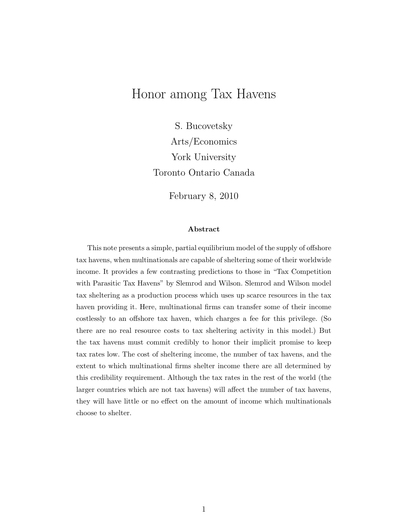# Honor among Tax Havens

S. Bucovetsky Arts/Economics York University Toronto Ontario Canada

February 8, 2010

#### Abstract

This note presents a simple, partial equilibrium model of the supply of offshore tax havens, when multinationals are capable of sheltering some of their worldwide income. It provides a few contrasting predictions to those in "Tax Competition with Parasitic Tax Havens" by Slemrod and Wilson. Slemrod and Wilson model tax sheltering as a production process which uses up scarce resources in the tax haven providing it. Here, multinational firms can transfer some of their income costlessly to an offshore tax haven, which charges a fee for this privilege. (So there are no real resource costs to tax sheltering activity in this model.) But the tax havens must commit credibly to honor their implicit promise to keep tax rates low. The cost of sheltering income, the number of tax havens, and the extent to which multinational firms shelter income there are all determined by this credibility requirement. Although the tax rates in the rest of the world (the larger countries which are not tax havens) will affect the number of tax havens, they will have little or no effect on the amount of income which multinationals choose to shelter.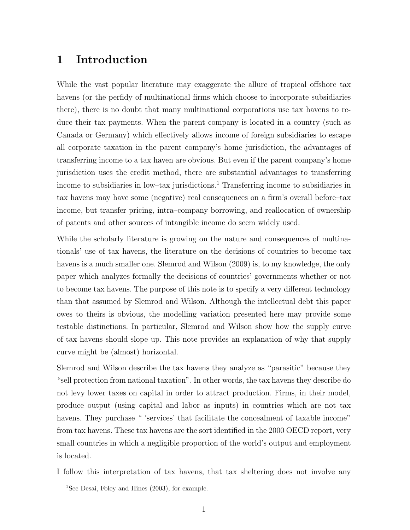# 1 Introduction

While the vast popular literature may exaggerate the allure of tropical offshore tax havens (or the perfidy of multinational firms which choose to incorporate subsidiaries there), there is no doubt that many multinational corporations use tax havens to reduce their tax payments. When the parent company is located in a country (such as Canada or Germany) which effectively allows income of foreign subsidiaries to escape all corporate taxation in the parent company's home jurisdiction, the advantages of transferring income to a tax haven are obvious. But even if the parent company's home jurisdiction uses the credit method, there are substantial advantages to transferring income to subsidiaries in low–tax jurisdictions.<sup>1</sup> Transferring income to subsidiaries in tax havens may have some (negative) real consequences on a firm's overall before–tax income, but transfer pricing, intra–company borrowing, and reallocation of ownership of patents and other sources of intangible income do seem widely used.

While the scholarly literature is growing on the nature and consequences of multinationals' use of tax havens, the literature on the decisions of countries to become tax havens is a much smaller one. Slemrod and Wilson (2009) is, to my knowledge, the only paper which analyzes formally the decisions of countries' governments whether or not to become tax havens. The purpose of this note is to specify a very different technology than that assumed by Slemrod and Wilson. Although the intellectual debt this paper owes to theirs is obvious, the modelling variation presented here may provide some testable distinctions. In particular, Slemrod and Wilson show how the supply curve of tax havens should slope up. This note provides an explanation of why that supply curve might be (almost) horizontal.

Slemrod and Wilson describe the tax havens they analyze as "parasitic" because they "sell protection from national taxation". In other words, the tax havens they describe do not levy lower taxes on capital in order to attract production. Firms, in their model, produce output (using capital and labor as inputs) in countries which are not tax havens. They purchase " 'services' that facilitate the concealment of taxable income" from tax havens. These tax havens are the sort identified in the 2000 OECD report, very small countries in which a negligible proportion of the world's output and employment is located.

I follow this interpretation of tax havens, that tax sheltering does not involve any

<sup>&</sup>lt;sup>1</sup>See Desai, Foley and Hines (2003), for example.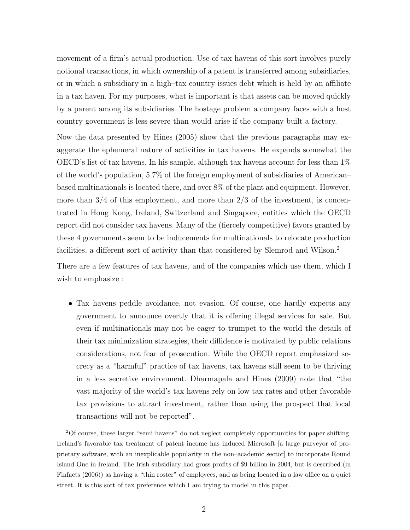movement of a firm's actual production. Use of tax havens of this sort involves purely notional transactions, in which ownership of a patent is transferred among subsidiaries, or in which a subsidiary in a high–tax country issues debt which is held by an affiliate in a tax haven. For my purposes, what is important is that assets can be moved quickly by a parent among its subsidiaries. The hostage problem a company faces with a host country government is less severe than would arise if the company built a factory.

Now the data presented by Hines (2005) show that the previous paragraphs may exaggerate the ephemeral nature of activities in tax havens. He expands somewhat the OECD's list of tax havens. In his sample, although tax havens account for less than  $1\%$ of the world's population, 5.7% of the foreign employment of subsidiaries of American– based multinationals is located there, and over 8% of the plant and equipment. However, more than  $3/4$  of this employment, and more than  $2/3$  of the investment, is concentrated in Hong Kong, Ireland, Switzerland and Singapore, entities which the OECD report did not consider tax havens. Many of the (fiercely competitive) favors granted by these 4 governments seem to be inducements for multinationals to relocate production facilities, a different sort of activity than that considered by Slemrod and Wilson.<sup>2</sup>

There are a few features of tax havens, and of the companies which use them, which I wish to emphasize :

• Tax havens peddle avoidance, not evasion. Of course, one hardly expects any government to announce overtly that it is offering illegal services for sale. But even if multinationals may not be eager to trumpet to the world the details of their tax minimization strategies, their diffidence is motivated by public relations considerations, not fear of prosecution. While the OECD report emphasized secrecy as a "harmful" practice of tax havens, tax havens still seem to be thriving in a less secretive environment. Dharmapala and Hines (2009) note that "the vast majority of the world's tax havens rely on low tax rates and other favorable tax provisions to attract investment, rather than using the prospect that local transactions will not be reported".

<sup>2</sup>Of course, these larger "semi havens" do not neglect completely opportunities for paper shifting. Ireland's favorable tax treatment of patent income has induced Microsoft [a large purveyor of proprietary software, with an inexplicable popularity in the non–academic sector] to incorporate Round Island One in Ireland. The Irish subsidiary had gross profits of \$9 billion in 2004, but is described (in Finfacts (2006)) as having a "thin roster" of employees, and as being located in a law office on a quiet street. It is this sort of tax preference which I am trying to model in this paper.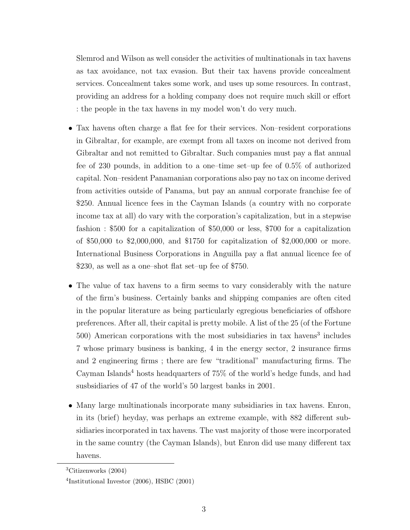Slemrod and Wilson as well consider the activities of multinationals in tax havens as tax avoidance, not tax evasion. But their tax havens provide concealment services. Concealment takes some work, and uses up some resources. In contrast, providing an address for a holding company does not require much skill or effort : the people in the tax havens in my model won't do very much.

- Tax havens often charge a flat fee for their services. Non–resident corporations in Gibraltar, for example, are exempt from all taxes on income not derived from Gibraltar and not remitted to Gibraltar. Such companies must pay a flat annual fee of 230 pounds, in addition to a one–time set–up fee of 0.5% of authorized capital. Non–resident Panamanian corporations also pay no tax on income derived from activities outside of Panama, but pay an annual corporate franchise fee of \$250. Annual licence fees in the Cayman Islands (a country with no corporate income tax at all) do vary with the corporation's capitalization, but in a stepwise fashion : \$500 for a capitalization of \$50,000 or less, \$700 for a capitalization of \$50,000 to \$2,000,000, and \$1750 for capitalization of \$2,000,000 or more. International Business Corporations in Anguilla pay a flat annual licence fee of \$230, as well as a one–shot flat set–up fee of \$750.
- The value of tax havens to a firm seems to vary considerably with the nature of the firm's business. Certainly banks and shipping companies are often cited in the popular literature as being particularly egregious beneficiaries of offshore preferences. After all, their capital is pretty mobile. A list of the 25 (of the Fortune 500) American corporations with the most subsidiaries in tax havens<sup>3</sup> includes 7 whose primary business is banking, 4 in the energy sector, 2 insurance firms and 2 engineering firms ; there are few "traditional" manufacturing firms. The Cayman Islands<sup>4</sup> hosts headquarters of  $75\%$  of the world's hedge funds, and had susbsidiaries of 47 of the world's 50 largest banks in 2001.
- Many large multinationals incorporate many subsidiaries in tax havens. Enron, in its (brief) heyday, was perhaps an extreme example, with 882 different subsidiaries incorporated in tax havens. The vast majority of those were incorporated in the same country (the Cayman Islands), but Enron did use many different tax havens.

<sup>3</sup>Citizenworks (2004)

<sup>4</sup> Institutional Investor (2006), HSBC (2001)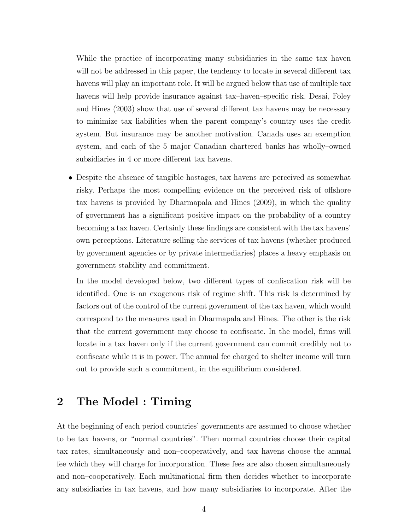While the practice of incorporating many subsidiaries in the same tax haven will not be addressed in this paper, the tendency to locate in several different tax havens will play an important role. It will be argued below that use of multiple tax havens will help provide insurance against tax–haven–specific risk. Desai, Foley and Hines (2003) show that use of several different tax havens may be necessary to minimize tax liabilities when the parent company's country uses the credit system. But insurance may be another motivation. Canada uses an exemption system, and each of the 5 major Canadian chartered banks has wholly–owned subsidiaries in 4 or more different tax havens.

• Despite the absence of tangible hostages, tax havens are perceived as somewhat risky. Perhaps the most compelling evidence on the perceived risk of offshore tax havens is provided by Dharmapala and Hines (2009), in which the quality of government has a significant positive impact on the probability of a country becoming a tax haven. Certainly these findings are consistent with the tax havens' own perceptions. Literature selling the services of tax havens (whether produced by government agencies or by private intermediaries) places a heavy emphasis on government stability and commitment.

In the model developed below, two different types of confiscation risk will be identified. One is an exogenous risk of regime shift. This risk is determined by factors out of the control of the current government of the tax haven, which would correspond to the measures used in Dharmapala and Hines. The other is the risk that the current government may choose to confiscate. In the model, firms will locate in a tax haven only if the current government can commit credibly not to confiscate while it is in power. The annual fee charged to shelter income will turn out to provide such a commitment, in the equilibrium considered.

# 2 The Model : Timing

At the beginning of each period countries' governments are assumed to choose whether to be tax havens, or "normal countries". Then normal countries choose their capital tax rates, simultaneously and non–cooperatively, and tax havens choose the annual fee which they will charge for incorporation. These fees are also chosen simultaneously and non–cooperatively. Each multinational firm then decides whether to incorporate any subsidiaries in tax havens, and how many subsidiaries to incorporate. After the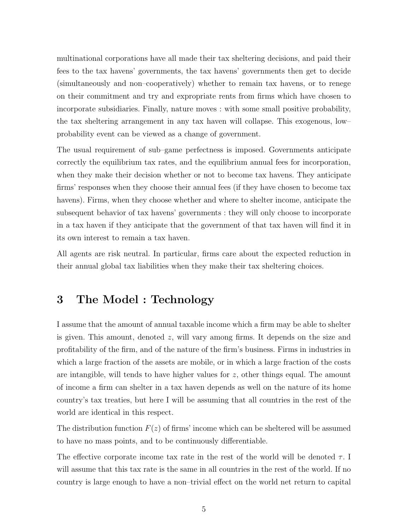multinational corporations have all made their tax sheltering decisions, and paid their fees to the tax havens' governments, the tax havens' governments then get to decide (simultaneously and non–cooperatively) whether to remain tax havens, or to renege on their commitment and try and expropriate rents from firms which have chosen to incorporate subsidiaries. Finally, nature moves : with some small positive probability, the tax sheltering arrangement in any tax haven will collapse. This exogenous, low– probability event can be viewed as a change of government.

The usual requirement of sub–game perfectness is imposed. Governments anticipate correctly the equilibrium tax rates, and the equilibrium annual fees for incorporation, when they make their decision whether or not to become tax havens. They anticipate firms' responses when they choose their annual fees (if they have chosen to become tax havens). Firms, when they choose whether and where to shelter income, anticipate the subsequent behavior of tax havens' governments : they will only choose to incorporate in a tax haven if they anticipate that the government of that tax haven will find it in its own interest to remain a tax haven.

All agents are risk neutral. In particular, firms care about the expected reduction in their annual global tax liabilities when they make their tax sheltering choices.

# 3 The Model : Technology

I assume that the amount of annual taxable income which a firm may be able to shelter is given. This amount, denoted z, will vary among firms. It depends on the size and profitability of the firm, and of the nature of the firm's business. Firms in industries in which a large fraction of the assets are mobile, or in which a large fraction of the costs are intangible, will tends to have higher values for z, other things equal. The amount of income a firm can shelter in a tax haven depends as well on the nature of its home country's tax treaties, but here I will be assuming that all countries in the rest of the world are identical in this respect.

The distribution function  $F(z)$  of firms' income which can be sheltered will be assumed to have no mass points, and to be continuously differentiable.

The effective corporate income tax rate in the rest of the world will be denoted  $\tau$ . will assume that this tax rate is the same in all countries in the rest of the world. If no country is large enough to have a non–trivial effect on the world net return to capital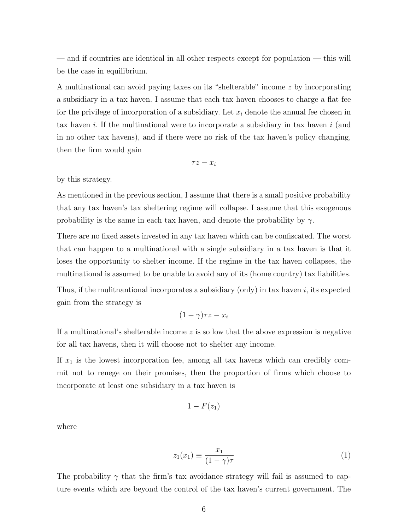— and if countries are identical in all other respects except for population — this will be the case in equilibrium.

A multinational can avoid paying taxes on its "shelterable" income z by incorporating a subsidiary in a tax haven. I assume that each tax haven chooses to charge a flat fee for the privilege of incorporation of a subsidiary. Let  $x_i$  denote the annual fee chosen in tax haven  $i$ . If the multinational were to incorporate a subsidiary in tax haven  $i$  (and in no other tax havens), and if there were no risk of the tax haven's policy changing, then the firm would gain

$$
\tau z - x_i
$$

by this strategy.

As mentioned in the previous section, I assume that there is a small positive probability that any tax haven's tax sheltering regime will collapse. I assume that this exogenous probability is the same in each tax haven, and denote the probability by  $\gamma$ .

There are no fixed assets invested in any tax haven which can be confiscated. The worst that can happen to a multinational with a single subsidiary in a tax haven is that it loses the opportunity to shelter income. If the regime in the tax haven collapses, the multinational is assumed to be unable to avoid any of its (home country) tax liabilities.

Thus, if the mulitnantional incorporates a subsidiary (only) in tax haven  $i$ , its expected gain from the strategy is

$$
(1-\gamma)\tau z - x_i
$$

If a multinational's shelterable income  $z$  is so low that the above expression is negative for all tax havens, then it will choose not to shelter any income.

If  $x_1$  is the lowest incorporation fee, among all tax havens which can credibly commit not to renege on their promises, then the proportion of firms which choose to incorporate at least one subsidiary in a tax haven is

$$
1-F(z_1)
$$

where

$$
z_1(x_1) \equiv \frac{x_1}{(1 - \gamma)\tau} \tag{1}
$$

The probability  $\gamma$  that the firm's tax avoidance strategy will fail is assumed to capture events which are beyond the control of the tax haven's current government. The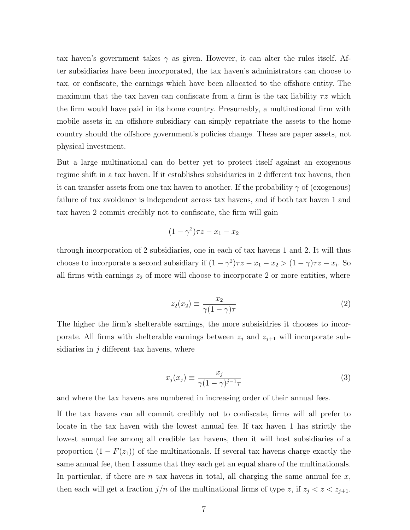tax haven's government takes  $\gamma$  as given. However, it can alter the rules itself. After subsidiaries have been incorporated, the tax haven's administrators can choose to tax, or confiscate, the earnings which have been allocated to the offshore entity. The maximum that the tax haven can confiscate from a firm is the tax liability  $\tau z$  which the firm would have paid in its home country. Presumably, a multinational firm with mobile assets in an offshore subsidiary can simply repatriate the assets to the home country should the offshore government's policies change. These are paper assets, not physical investment.

But a large multinational can do better yet to protect itself against an exogenous regime shift in a tax haven. If it establishes subsidiaries in 2 different tax havens, then it can transfer assets from one tax haven to another. If the probability  $\gamma$  of (exogenous) failure of tax avoidance is independent across tax havens, and if both tax haven 1 and tax haven 2 commit credibly not to confiscate, the firm will gain

$$
(1 - \gamma^2)\tau z - x_1 - x_2
$$

through incorporation of 2 subsidiaries, one in each of tax havens 1 and 2. It will thus choose to incorporate a second subsidiary if  $(1 - \gamma^2)\tau z - x_1 - x_2 > (1 - \gamma)\tau z - x_i$ . So all firms with earnings  $z_2$  of more will choose to incorporate 2 or more entities, where

$$
z_2(x_2) \equiv \frac{x_2}{\gamma (1 - \gamma)\tau} \tag{2}
$$

The higher the firm's shelterable earnings, the more subsisidries it chooses to incorporate. All firms with shelterable earnings between  $z_j$  and  $z_{j+1}$  will incorporate subsidiaries in  $j$  different tax havens, where

$$
x_j(x_j) \equiv \frac{x_j}{\gamma (1 - \gamma)^{j-1} \tau} \tag{3}
$$

and where the tax havens are numbered in increasing order of their annual fees.

If the tax havens can all commit credibly not to confiscate, firms will all prefer to locate in the tax haven with the lowest annual fee. If tax haven 1 has strictly the lowest annual fee among all credible tax havens, then it will host subsidiaries of a proportion  $(1 - F(z_1))$  of the multinationals. If several tax havens charge exactly the same annual fee, then I assume that they each get an equal share of the multinationals. In particular, if there are n tax havens in total, all charging the same annual fee  $x$ , then each will get a fraction  $j/n$  of the multinational firms of type z, if  $z_j < z < z_{j+1}$ .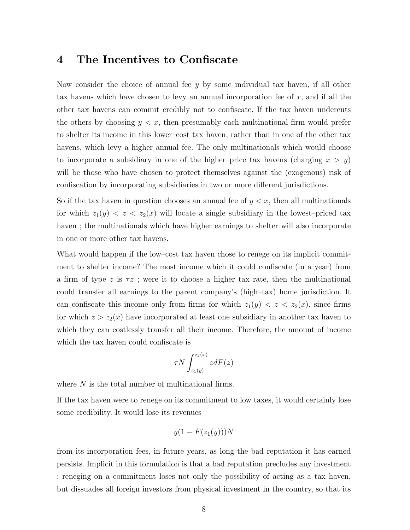# 4 The Incentives to Confiscate

Now consider the choice of annual fee  $y$  by some individual tax haven, if all other tax havens which have chosen to levy an annual incorporation fee of  $x$ , and if all the other tax havens can commit credibly not to confiscate. If the tax haven undercuts the others by choosing  $y \leq x$ , then presumably each multinational firm would prefer to shelter its income in this lower–cost tax haven, rather than in one of the other tax havens, which levy a higher annual fee. The only multinationals which would choose to incorporate a subsidiary in one of the higher–price tax havens (charging  $x > y$ ) will be those who have chosen to protect themselves against the (exogenous) risk of confiscation by incorporating subsidiaries in two or more different jurisdictions.

So if the tax haven in question chooses an annual fee of  $y < x$ , then all multinationals for which  $z_1(y) < z < z_2(x)$  will locate a single subsidiary in the lowest-priced tax haven ; the multinationals which have higher earnings to shelter will also incorporate in one or more other tax havens.

What would happen if the low–cost tax haven chose to renege on its implicit commitment to shelter income? The most income which it could confiscate (in a year) from a firm of type z is  $\tau z$ ; were it to choose a higher tax rate, then the multinational could transfer all earnings to the parent company's (high–tax) home jurisdiction. It can confiscate this income only from firms for which  $z_1(y) < z < z_2(x)$ , since firms for which  $z > z_2(x)$  have incorporated at least one subsidiary in another tax haven to which they can costlessly transfer all their income. Therefore, the amount of income which the tax haven could confiscate is

$$
\tau N \int_{z_1(y)}^{z_2(x)} z dF(z)
$$

where  $N$  is the total number of multinational firms.

If the tax haven were to renege on its commitment to low taxes, it would certainly lose some credibility. It would lose its revenues

$$
y(1 - F(z_1(y)))N
$$

from its incorporation fees, in future years, as long the bad reputation it has earned persists. Implicit in this formulation is that a bad reputation precludes any investment : reneging on a commitment loses not only the possibility of acting as a tax haven, but dissuades all foreign investors from physical investment in the country, so that its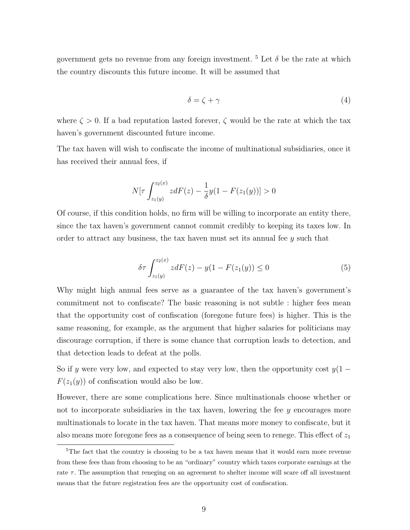government gets no revenue from any foreign investment. <sup>5</sup> Let  $\delta$  be the rate at which the country discounts this future income. It will be assumed that

$$
\delta = \zeta + \gamma \tag{4}
$$

where  $\zeta > 0$ . If a bad reputation lasted forever,  $\zeta$  would be the rate at which the tax haven's government discounted future income.

The tax haven will wish to confiscate the income of multinational subsidiaries, once it has received their annual fees, if

$$
N[\tau \int_{z_1(y)}^{z_2(x)} z dF(z) - \frac{1}{\delta} y(1 - F(z_1(y))] > 0
$$

Of course, if this condition holds, no firm will be willing to incorporate an entity there, since the tax haven's government cannot commit credibly to keeping its taxes low. In order to attract any business, the tax haven must set its annual fee  $y$  such that

$$
\delta \tau \int_{z_1(y)}^{z_2(x)} z dF(z) - y(1 - F(z_1(y))) \le 0
$$
\n(5)

Why might high annual fees serve as a guarantee of the tax haven's government's commitment not to confiscate? The basic reasoning is not subtle : higher fees mean that the opportunity cost of confiscation (foregone future fees) is higher. This is the same reasoning, for example, as the argument that higher salaries for politicians may discourage corruption, if there is some chance that corruption leads to detection, and that detection leads to defeat at the polls.

So if y were very low, and expected to stay very low, then the opportunity cost  $y(1 F(z_1(y))$  of confiscation would also be low.

However, there are some complications here. Since multinationals choose whether or not to incorporate subsidiaries in the tax haven, lowering the fee y encourages more multinationals to locate in the tax haven. That means more money to confiscate, but it also means more foregone fees as a consequence of being seen to renege. This effect of  $z_1$ 

<sup>&</sup>lt;sup>5</sup>The fact that the country is choosing to be a tax haven means that it would earn more revenue from these fees than from choosing to be an "ordinary" country which taxes corporate earnings at the rate  $\tau$ . The assumption that reneging on an agreement to shelter income will scare off all investment means that the future registration fees are the opportunity cost of confiscation.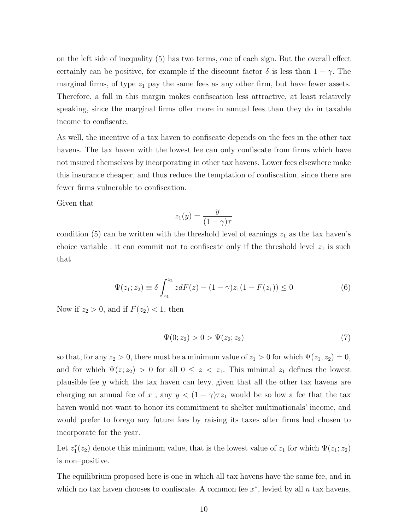on the left side of inequality (5) has two terms, one of each sign. But the overall effect certainly can be positive, for example if the discount factor  $\delta$  is less than  $1 - \gamma$ . The marginal firms, of type  $z_1$  pay the same fees as any other firm, but have fewer assets. Therefore, a fall in this margin makes confiscation less attractive, at least relatively speaking, since the marginal firms offer more in annual fees than they do in taxable income to confiscate.

As well, the incentive of a tax haven to confiscate depends on the fees in the other tax havens. The tax haven with the lowest fee can only confiscate from firms which have not insured themselves by incorporating in other tax havens. Lower fees elsewhere make this insurance cheaper, and thus reduce the temptation of confiscation, since there are fewer firms vulnerable to confiscation.

Given that

$$
z_1(y) = \frac{y}{(1 - \gamma)\tau}
$$

condition (5) can be written with the threshold level of earnings  $z_1$  as the tax haven's choice variable : it can commit not to confiscate only if the threshold level  $z_1$  is such that

$$
\Psi(z_1; z_2) \equiv \delta \int_{z_1}^{z_2} z dF(z) - (1 - \gamma) z_1 (1 - F(z_1)) \le 0 \tag{6}
$$

Now if  $z_2 > 0$ , and if  $F(z_2) < 1$ , then

$$
\Psi(0; z_2) > 0 > \Psi(z_2; z_2)
$$
\n(7)

so that, for any  $z_2 > 0$ , there must be a minimum value of  $z_1 > 0$  for which  $\Psi(z_1, z_2) = 0$ , and for which  $\Psi(z; z_2) > 0$  for all  $0 \leq z < z_1$ . This minimal  $z_1$  defines the lowest plausible fee y which the tax haven can levy, given that all the other tax havens are charging an annual fee of x; any  $y < (1 - \gamma)\tau z_1$  would be so low a fee that the tax haven would not want to honor its commitment to shelter multinationals' income, and would prefer to forego any future fees by raising its taxes after firms had chosen to incorporate for the year.

Let  $z_1^r(z_2)$  denote this minimum value, that is the lowest value of  $z_1$  for which  $\Psi(z_1; z_2)$ is non–positive.

The equilibrium proposed here is one in which all tax havens have the same fee, and in which no tax haven chooses to confiscate. A common fee  $x^*$ , levied by all  $n$  tax havens,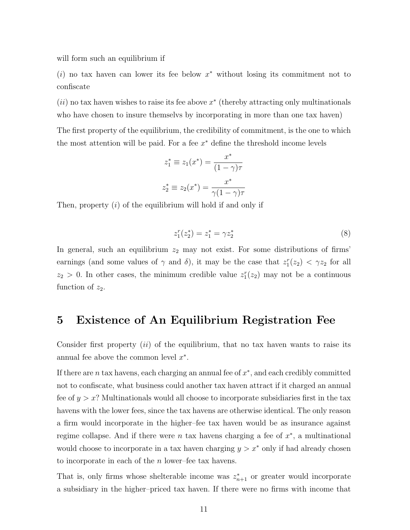will form such an equilibrium if

 $(i)$  no tax haven can lower its fee below  $x^*$  without losing its commitment not to confiscate

 $(ii)$  no tax haven wishes to raise its fee above  $x^*$  (thereby attracting only multinationals who have chosen to insure themselvs by incorporating in more than one tax haven)

The first property of the equilibrium, the credibility of commitment, is the one to which the most attention will be paid. For a fee  $x^*$  define the threshold income levels

$$
z_1^* \equiv z_1(x^*) = \frac{x^*}{(1 - \gamma)\tau}
$$

$$
z_2^* \equiv z_2(x^*) = \frac{x^*}{\gamma(1 - \gamma)\tau}
$$

Then, property (i) of the equilibrium will hold if and only if

$$
z_1^r(z_2^*) = z_1^* = \gamma z_2^* \tag{8}
$$

In general, such an equilibrium  $z_2$  may not exist. For some distributions of firms' earnings (and some values of  $\gamma$  and  $\delta$ ), it may be the case that  $z_1^r(z_2) < \gamma z_2$  for all  $z_2 > 0$ . In other cases, the minimum credible value  $z_1^r(z_2)$  may not be a continuous function of  $z_2$ .

#### 5 Existence of An Equilibrium Registration Fee

Consider first property  $(ii)$  of the equilibrium, that no tax haven wants to raise its annual fee above the common level  $x^*$ .

If there are  $n$  tax havens, each charging an annual fee of  $x^*$ , and each credibly committed not to confiscate, what business could another tax haven attract if it charged an annual fee of  $y > x$ ? Multinationals would all choose to incorporate subsidiaries first in the tax havens with the lower fees, since the tax havens are otherwise identical. The only reason a firm would incorporate in the higher–fee tax haven would be as insurance against regime collapse. And if there were  $n$  tax havens charging a fee of  $x^*$ , a multinational would choose to incorporate in a tax haven charging  $y > x^*$  only if had already chosen to incorporate in each of the n lower–fee tax havens.

That is, only firms whose shelterable income was  $z_{n+1}^*$  or greater would incorporate a subsidiary in the higher–priced tax haven. If there were no firms with income that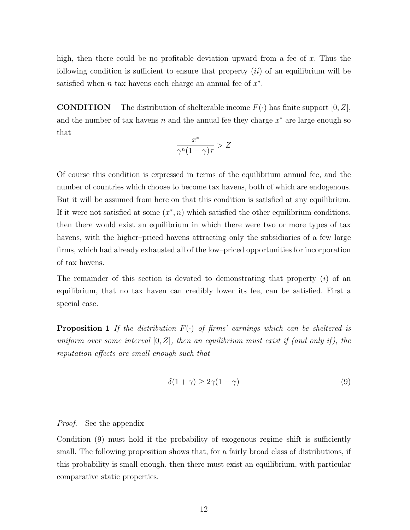high, then there could be no profitable deviation upward from a fee of  $x$ . Thus the following condition is sufficient to ensure that property  $(ii)$  of an equilibrium will be satisfied when  $n$  tax havens each charge an annual fee of  $x^*$ .

**CONDITION** The distribution of shelterable income  $F(\cdot)$  has finite support  $[0, Z]$ , and the number of tax havens n and the annual fee they charge  $x^*$  are large enough so that

$$
\frac{x^*}{\gamma^n (1-\gamma)\tau} > Z
$$

Of course this condition is expressed in terms of the equilibrium annual fee, and the number of countries which choose to become tax havens, both of which are endogenous. But it will be assumed from here on that this condition is satisfied at any equilibrium. If it were not satisfied at some  $(x^*, n)$  which satisfied the other equilibrium conditions, then there would exist an equilibrium in which there were two or more types of tax havens, with the higher–priced havens attracting only the subsidiaries of a few large firms, which had already exhausted all of the low–priced opportunities for incorporation of tax havens.

The remainder of this section is devoted to demonstrating that property  $(i)$  of an equilibrium, that no tax haven can credibly lower its fee, can be satisfied. First a special case.

**Proposition 1** If the distribution  $F(\cdot)$  of firms' earnings which can be sheltered is uniform over some interval  $[0, Z]$ , then an equilibrium must exist if (and only if), the reputation effects are small enough such that

$$
\delta(1+\gamma) \ge 2\gamma(1-\gamma) \tag{9}
$$

#### Proof. See the appendix

Condition (9) must hold if the probability of exogenous regime shift is sufficiently small. The following proposition shows that, for a fairly broad class of distributions, if this probability is small enough, then there must exist an equilibrium, with particular comparative static properties.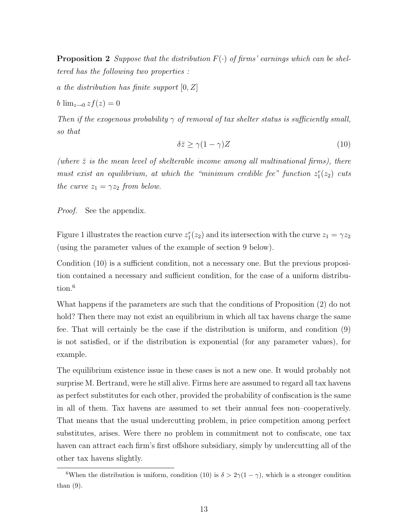**Proposition 2** Suppose that the distribution  $F(\cdot)$  of firms' earnings which can be sheltered has the following two properties :

a the distribution has finite support  $[0, Z]$ 

$$
b \lim_{z \to 0} z f(z) = 0
$$

Then if the exogenous probability  $\gamma$  of removal of tax shelter status is sufficiently small, so that

$$
\delta \bar{z} \ge \gamma (1 - \gamma) Z \tag{10}
$$

(where  $\bar{z}$  is the mean level of shelterable income among all multinational firms), there must exist an equilibrium, at which the "minimum credible fee" function  $z_1^r(z_2)$  cuts the curve  $z_1 = \gamma z_2$  from below.

*Proof.* See the appendix.

Figure 1 illustrates the reaction curve  $z_1^r(z_2)$  and its intersection with the curve  $z_1 = \gamma z_2$ (using the parameter values of the example of section 9 below).

Condition (10) is a sufficient condition, not a necessary one. But the previous proposition contained a necessary and sufficient condition, for the case of a uniform distribution.<sup>6</sup>

What happens if the parameters are such that the conditions of Proposition (2) do not hold? Then there may not exist an equilibrium in which all tax havens charge the same fee. That will certainly be the case if the distribution is uniform, and condition (9) is not satisfied, or if the distribution is exponential (for any parameter values), for example.

The equilibrium existence issue in these cases is not a new one. It would probably not surprise M. Bertrand, were he still alive. Firms here are assumed to regard all tax havens as perfect substitutes for each other, provided the probability of confiscation is the same in all of them. Tax havens are assumed to set their annual fees non–cooperatively. That means that the usual undercutting problem, in price competition among perfect substitutes, arises. Were there no problem in commitment not to confiscate, one tax haven can attract each firm's first offshore subsidiary, simply by undercutting all of the other tax havens slightly.

<sup>&</sup>lt;sup>6</sup>When the distribution is uniform, condition (10) is  $\delta > 2\gamma(1-\gamma)$ , which is a stronger condition than (9).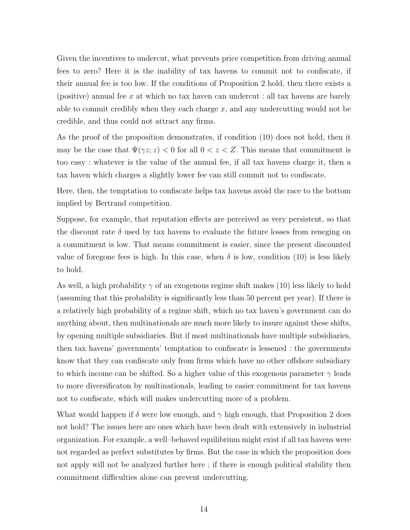Given the incentives to undercut, what prevents price competition from driving annual fees to zero? Here it is the inability of tax havens to commit not to confiscate, if their annual fee is too low. If the conditions of Proposition 2 hold, then there exists a (positive) annual fee x at which no tax haven can undercut : all tax havens are barely able to commit credibly when they each charge  $x$ , and any undercutting would not be credible, and thus could not attract any firms.

As the proof of the proposition demonstrates, if condition (10) does not hold, then it may be the case that  $\Psi(\gamma z; z) < 0$  for all  $0 < z < Z$ . This means that commitment is too easy : whatever is the value of the annual fee, if all tax havens charge it, then a tax haven which charges a slightly lower fee can still commit not to confiscate.

Here, then, the temptation to confiscate helps tax havens avoid the race to the bottom implied by Bertrand competition.

Suppose, for example, that reputation effects are perceived as very persistent, so that the discount rate  $\delta$  used by tax havens to evaluate the future losses from reneging on a commitment is low. That means commitment is easier, since the present discounted value of foregone fees is high. In this case, when  $\delta$  is low, condition (10) is less likely to hold.

As well, a high probability  $\gamma$  of an exogenous regime shift makes (10) less likely to hold (assuming that this probability is significantly less than 50 percent per year). If there is a relatively high probability of a regime shift, which no tax haven's government can do anything about, then multinationals are much more likely to insure against these shifts, by opening multiple subsidiaries. But if most multinationals have multiple subsidiaries, then tax havens' governments' temptation to confiscate is lessened : the governments know that they can confiscate only from firms which have no other offshore subsidiary to which income can be shifted. So a higher value of this exogenous parameter  $\gamma$  leads to more diversificaton by multinationals, leading to easier commitment for tax havens not to confiscate, which will makes undercutting more of a problem.

What would happen if  $\delta$  were low enough, and  $\gamma$  high enough, that Proposition 2 does not hold? The issues here are ones which have been dealt with extensively in industrial organization. For example, a well–behaved equilibrium might exist if all tax havens were not regarded as perfect substitutes by firms. But the case in which the proposition does not apply will not be analyzed further here ; if there is enough political stability then commitment difficulties alone can prevent undercutting.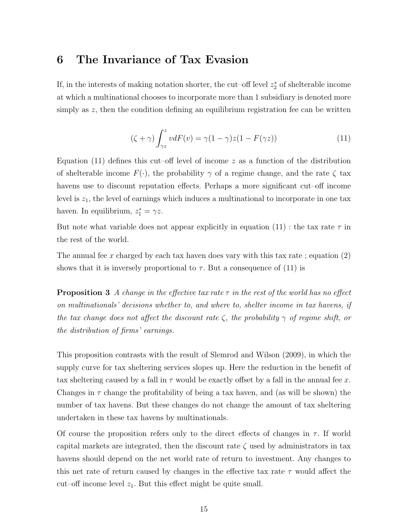### 6 The Invariance of Tax Evasion

If, in the interests of making notation shorter, the cut–off level  $z_2^*$  of shelterable income at which a multinational chooses to incorporate more than 1 subsidiary is denoted more simply as z, then the condition defining an equilibrium registration fee can be written

$$
(\zeta + \gamma) \int_{\gamma z}^{z} v dF(v) = \gamma (1 - \gamma) z (1 - F(\gamma z)) \tag{11}
$$

Equation (11) defines this cut–off level of income  $z$  as a function of the distribution of shelterable income  $F(\cdot)$ , the probability  $\gamma$  of a regime change, and the rate  $\zeta$  tax havens use to discount reputation effects. Perhaps a more significant cut–off income level is  $z_1$ , the level of earnings which induces a multinational to incorporate in one tax haven. In equilibrium,  $z_1^* = \gamma z$ .

But note what variable does not appear explicitly in equation (11) : the tax rate  $\tau$  in the rest of the world.

The annual fee x charged by each tax haven does vary with this tax rate; equation  $(2)$ shows that it is inversely proportional to  $\tau$ . But a consequence of (11) is

**Proposition 3** A change in the effective tax rate  $\tau$  in the rest of the world has no effect on multinationals' decisions whether to, and where to, shelter income in tax havens, if the tax change does not affect the discount rate  $\zeta$ , the probability  $\gamma$  of regime shift, or the distribution of firms' earnings.

This proposition contrasts with the result of Slemrod and Wilson (2009), in which the supply curve for tax sheltering services slopes up. Here the reduction in the benefit of tax sheltering caused by a fall in  $\tau$  would be exactly offset by a fall in the annual fee x. Changes in  $\tau$  change the profitability of being a tax haven, and (as will be shown) the number of tax havens. But these changes do not change the amount of tax sheltering undertaken in these tax havens by multinationals.

Of course the proposition refers only to the direct effects of changes in  $\tau$ . If world capital markets are integrated, then the discount rate  $\zeta$  used by administrators in tax havens should depend on the net world rate of return to investment. Any changes to this net rate of return caused by changes in the effective tax rate  $\tau$  would affect the cut–off income level  $z_1$ . But this effect might be quite small.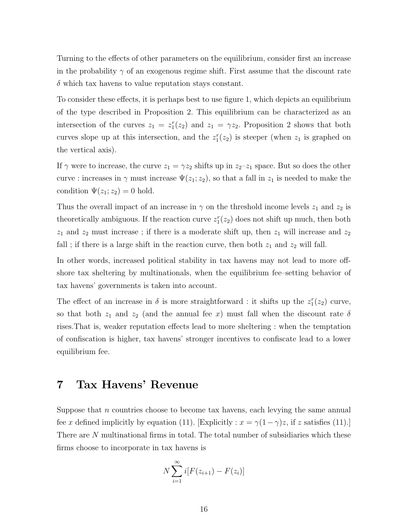Turning to the effects of other parameters on the equilibrium, consider first an increase in the probability  $\gamma$  of an exogenous regime shift. First assume that the discount rate  $\delta$  which tax havens to value reputation stays constant.

To consider these effects, it is perhaps best to use figure 1, which depicts an equilibrium of the type described in Proposition 2. This equilibrium can be characterized as an intersection of the curves  $z_1 = z_1^r(z_2)$  and  $z_1 = \gamma z_2$ . Proposition 2 shows that both curves slope up at this intersection, and the  $z_1^r(z_2)$  is steeper (when  $z_1$  is graphed on the vertical axis).

If  $\gamma$  were to increase, the curve  $z_1 = \gamma z_2$  shifts up in  $z_2-z_1$  space. But so does the other curve : increases in  $\gamma$  must increase  $\Psi(z_1; z_2)$ , so that a fall in  $z_1$  is needed to make the condition  $\Psi(z_1; z_2) = 0$  hold.

Thus the overall impact of an increase in  $\gamma$  on the threshold income levels  $z_1$  and  $z_2$  is theoretically ambiguous. If the reaction curve  $z_1^r(z_2)$  does not shift up much, then both  $z_1$  and  $z_2$  must increase; if there is a moderate shift up, then  $z_1$  will increase and  $z_2$ fall ; if there is a large shift in the reaction curve, then both  $z_1$  and  $z_2$  will fall.

In other words, increased political stability in tax havens may not lead to more offshore tax sheltering by multinationals, when the equilibrium fee–setting behavior of tax havens' governments is taken into account.

The effect of an increase in  $\delta$  is more straightforward : it shifts up the  $z_1^r(z_2)$  curve, so that both  $z_1$  and  $z_2$  (and the annual fee x) must fall when the discount rate  $\delta$ rises.That is, weaker reputation effects lead to more sheltering : when the temptation of confiscation is higher, tax havens' stronger incentives to confiscate lead to a lower equilibrium fee.

# 7 Tax Havens' Revenue

Suppose that  $n$  countries choose to become tax havens, each levying the same annual fee x defined implicitly by equation (11). [Explicitly :  $x = \gamma(1-\gamma)z$ , if z satisfies (11).] There are N multinational firms in total. The total number of subsidiaries which these firms choose to incorporate in tax havens is

$$
N\sum_{i=1}^{\infty} i[F(z_{i+1}) - F(z_i)]
$$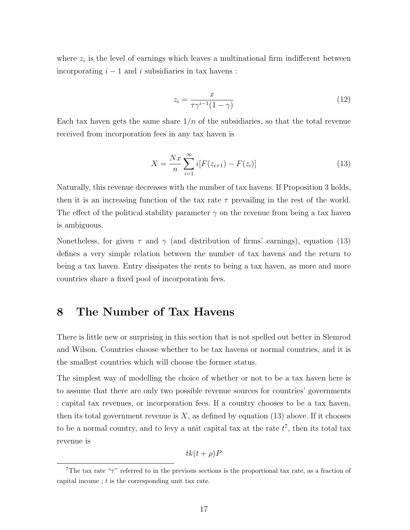where  $z_i$  is the level of earnings which leaves a multinational firm indifferent between incorporating  $i - 1$  and i subsidiaries in tax havens :

$$
z_i = \frac{x}{\tau \gamma^{i-1} (1 - \gamma)}\tag{12}
$$

Each tax haven gets the same share  $1/n$  of the subsidiaries, so that the total revenue received from incorporation fees in any tax haven is

$$
X = \frac{Nx}{n} \sum_{i=1}^{\infty} i[F(z_{i+1}) - F(z_i)] \tag{13}
$$

Naturally, this revenue decreases with the number of tax havens. If Proposition 3 holds, then it is an increasing function of the tax rate  $\tau$  prevailing in the rest of the world. The effect of the political stability parameter  $\gamma$  on the revenue from being a tax haven is ambiguous.

Nonetheless, for given  $\tau$  and  $\gamma$  (and distribution of firms' earnings), equation (13) defines a very simple relation between the number of tax havens and the return to being a tax haven. Entry dissipates the rents to being a tax haven, as more and more countries share a fixed pool of incorporation fees.

# 8 The Number of Tax Havens

There is little new or surprising in this section that is not spelled out better in Slemrod and Wilson. Countries choose whether to be tax havens or normal countries, and it is the smallest countries which will choose the former status.

The simplest way of modelling the choice of whether or not to be a tax haven here is to assume that there are only two possible revenue sources for countries' governments : capital tax revenues, or incorporation fees. If a country chooses to be a tax haven, then its total government revenue is  $X$ , as defined by equation (13) above. If it chooses to be a normal country, and to levy a unit capital tax at the rate  $t^7$ , then its total tax revenue is

$$
tk(t+\rho)P
$$

<sup>&</sup>lt;sup>7</sup>The tax rate " $\tau$ " referred to in the previous sections is the proportional tax rate, as a fraction of capital income ;  $t$  is the corresponding unit tax rate.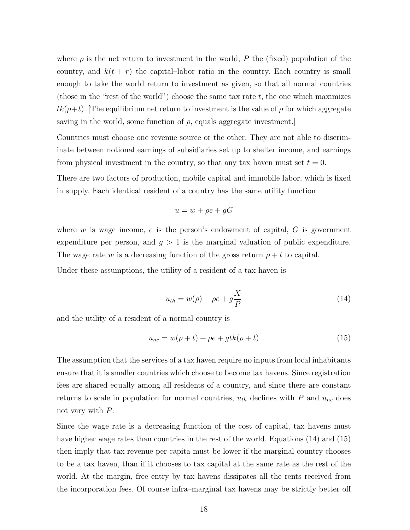where  $\rho$  is the net return to investment in the world, P the (fixed) population of the country, and  $k(t + r)$  the capital–labor ratio in the country. Each country is small enough to take the world return to investment as given, so that all normal countries (those in the "rest of the world") choose the same tax rate  $t$ , the one which maximizes  $tk(\rho+t)$ . The equilibrium net return to investment is the value of  $\rho$  for which aggregate saving in the world, some function of  $\rho$ , equals aggregate investment.

Countries must choose one revenue source or the other. They are not able to discriminate between notional earnings of subsidiaries set up to shelter income, and earnings from physical investment in the country, so that any tax haven must set  $t = 0$ .

There are two factors of production, mobile capital and immobile labor, which is fixed in supply. Each identical resident of a country has the same utility function

$$
u = w + \rho e + gG
$$

where  $w$  is wage income,  $e$  is the person's endowment of capital,  $G$  is government expenditure per person, and  $g > 1$  is the marginal valuation of public expenditure. The wage rate w is a decreasing function of the gross return  $\rho + t$  to capital.

Under these assumptions, the utility of a resident of a tax haven is

$$
u_{th} = w(\rho) + \rho e + g \frac{X}{P}
$$
\n(14)

and the utility of a resident of a normal country is

$$
u_{nc} = w(\rho + t) + \rho e + gtk(\rho + t)
$$
\n<sup>(15)</sup>

The assumption that the services of a tax haven require no inputs from local inhabitants ensure that it is smaller countries which choose to become tax havens. Since registration fees are shared equally among all residents of a country, and since there are constant returns to scale in population for normal countries,  $u_{th}$  declines with P and  $u_{nc}$  does not vary with P.

Since the wage rate is a decreasing function of the cost of capital, tax havens must have higher wage rates than countries in the rest of the world. Equations (14) and (15) then imply that tax revenue per capita must be lower if the marginal country chooses to be a tax haven, than if it chooses to tax capital at the same rate as the rest of the world. At the margin, free entry by tax havens dissipates all the rents received from the incorporation fees. Of course infra–marginal tax havens may be strictly better off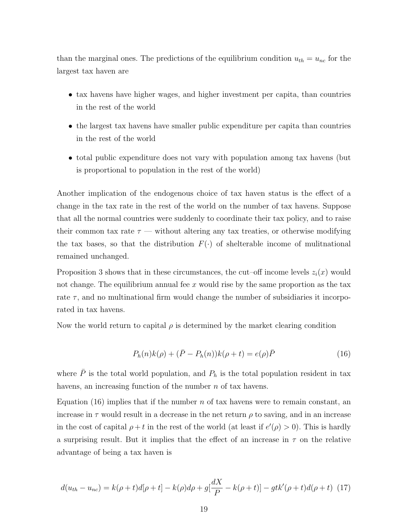than the marginal ones. The predictions of the equilibrium condition  $u_{th} = u_{nc}$  for the largest tax haven are

- tax havens have higher wages, and higher investment per capita, than countries in the rest of the world
- the largest tax havens have smaller public expenditure per capita than countries in the rest of the world
- total public expenditure does not vary with population among tax havens (but is proportional to population in the rest of the world)

Another implication of the endogenous choice of tax haven status is the effect of a change in the tax rate in the rest of the world on the number of tax havens. Suppose that all the normal countries were suddenly to coordinate their tax policy, and to raise their common tax rate  $\tau$  — without altering any tax treaties, or otherwise modifying the tax bases, so that the distribution  $F(\cdot)$  of shelterable income of mulitnational remained unchanged.

Proposition 3 shows that in these circumstances, the cut–off income levels  $z_i(x)$  would not change. The equilibrium annual fee  $x$  would rise by the same proportion as the tax rate  $\tau$ , and no multinational firm would change the number of subsidiaries it incorporated in tax havens.

Now the world return to capital  $\rho$  is determined by the market clearing condition

$$
P_h(n)k(\rho) + (\bar{P} - P_h(n))k(\rho + t) = e(\rho)\bar{P}
$$
\n(16)

where  $\bar{P}$  is the total world population, and  $P_h$  is the total population resident in tax havens, an increasing function of the number *n* of tax havens.

Equation (16) implies that if the number n of tax havens were to remain constant, an increase in  $\tau$  would result in a decrease in the net return  $\rho$  to saving, and in an increase in the cost of capital  $\rho + t$  in the rest of the world (at least if  $e'(\rho) > 0$ ). This is hardly a surprising result. But it implies that the effect of an increase in  $\tau$  on the relative advantage of being a tax haven is

$$
d(u_{th} - u_{nc}) = k(\rho + t)d[\rho + t] - k(\rho)d\rho + g\left[\frac{dX}{P} - k(\rho + t)\right] - gtk'(\rho + t)d(\rho + t)
$$
 (17)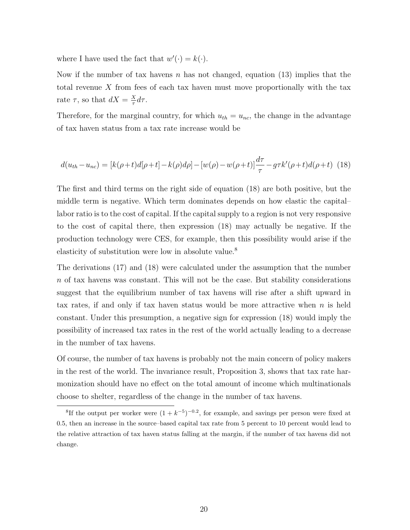where I have used the fact that  $w'(\cdot) = k(\cdot)$ .

Now if the number of tax havens n has not changed, equation (13) implies that the total revenue X from fees of each tax haven must move proportionally with the tax rate  $\tau$ , so that  $dX = \frac{X}{\tau}$  $rac{X}{\tau}d\tau.$ 

Therefore, for the marginal country, for which  $u_{th} = u_{nc}$ , the change in the advantage of tax haven status from a tax rate increase would be

$$
d(u_{th} - u_{nc}) = [k(\rho + t)d[\rho + t] - k(\rho)d\rho] - [w(\rho) - w(\rho + t)]\frac{d\tau}{\tau} - g\tau k'(\rho + t)d(\rho + t)
$$
(18)

The first and third terms on the right side of equation (18) are both positive, but the middle term is negative. Which term dominates depends on how elastic the capital– labor ratio is to the cost of capital. If the capital supply to a region is not very responsive to the cost of capital there, then expression (18) may actually be negative. If the production technology were CES, for example, then this possibility would arise if the elasticity of substitution were low in absolute value.<sup>8</sup>

The derivations (17) and (18) were calculated under the assumption that the number n of tax havens was constant. This will not be the case. But stability considerations suggest that the equilibrium number of tax havens will rise after a shift upward in tax rates, if and only if tax haven status would be more attractive when  $n$  is held constant. Under this presumption, a negative sign for expression (18) would imply the possibility of increased tax rates in the rest of the world actually leading to a decrease in the number of tax havens.

Of course, the number of tax havens is probably not the main concern of policy makers in the rest of the world. The invariance result, Proposition 3, shows that tax rate harmonization should have no effect on the total amount of income which multinationals choose to shelter, regardless of the change in the number of tax havens.

<sup>&</sup>lt;sup>8</sup>If the output per worker were  $(1 + k^{-5})^{-0.2}$ , for example, and savings per person were fixed at 0.5, then an increase in the source–based capital tax rate from 5 percent to 10 percent would lead to the relative attraction of tax haven status falling at the margin, if the number of tax havens did not change.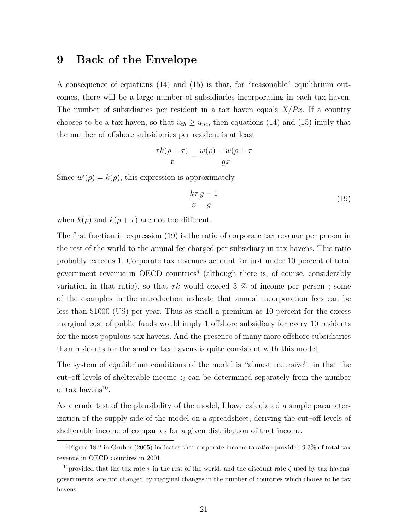### 9 Back of the Envelope

A consequence of equations (14) and (15) is that, for "reasonable" equilibrium outcomes, there will be a large number of subsidiaries incorporating in each tax haven. The number of subsidiaries per resident in a tax haven equals  $X/Px$ . If a country chooses to be a tax haven, so that  $u_{th} \geq u_{nc}$ , then equations (14) and (15) imply that the number of offshore subsidiaries per resident is at least

$$
\frac{\tau k(\rho+\tau)}{x} - \frac{w(\rho) - w(\rho+\tau)}{gx}
$$

Since  $w'(\rho) = k(\rho)$ , this expression is approximately

$$
\frac{k\tau}{x}\frac{g-1}{g} \tag{19}
$$

when  $k(\rho)$  and  $k(\rho + \tau)$  are not too different.

The first fraction in expression (19) is the ratio of corporate tax revenue per person in the rest of the world to the annual fee charged per subsidiary in tax havens. This ratio probably exceeds 1. Corporate tax revenues account for just under 10 percent of total government revenue in OECD countries<sup>9</sup> (although there is, of course, considerably variation in that ratio), so that  $\tau k$  would exceed 3 % of income per person ; some of the examples in the introduction indicate that annual incorporation fees can be less than \$1000 (US) per year. Thus as small a premium as 10 percent for the excess marginal cost of public funds would imply 1 offshore subsidiary for every 10 residents for the most populous tax havens. And the presence of many more offshore subsidiaries than residents for the smaller tax havens is quite consistent with this model.

The system of equilibrium conditions of the model is "almost recursive", in that the cut–off levels of shelterable income  $z_i$  can be determined separately from the number of tax havens<sup>10</sup>.

As a crude test of the plausibility of the model, I have calculated a simple parameterization of the supply side of the model on a spreadsheet, deriving the cut–off levels of shelterable income of companies for a given distribution of that income.

<sup>9</sup>Figure 18.2 in Gruber (2005) indicates that corporate income taxation provided 9.3% of total tax revenue in OECD countires in 2001

<sup>&</sup>lt;sup>10</sup>provided that the tax rate  $\tau$  in the rest of the world, and the discount rate  $\zeta$  used by tax havens' governments, are not changed by marginal changes in the number of countries which choose to be tax havens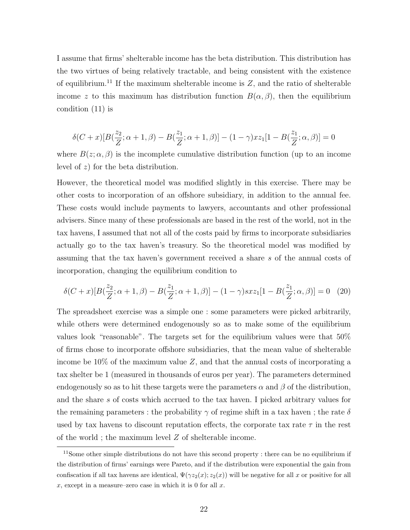I assume that firms' shelterable income has the beta distribution. This distribution has the two virtues of being relatively tractable, and being consistent with the existence of equilibrium.<sup>11</sup> If the maximum shelterable income is  $Z$ , and the ratio of shelterable income z to this maximum has distribution function  $B(\alpha, \beta)$ , then the equilibrium condition (11) is

$$
\delta(C+x)[B(\frac{z_2}{Z};\alpha+1,\beta)-B(\frac{z_1}{Z};\alpha+1,\beta)]-(1-\gamma)xz_1[1-B(\frac{z_1}{Z};\alpha,\beta)]=0
$$

where  $B(z; \alpha, \beta)$  is the incomplete cumulative distribution function (up to an income level of z) for the beta distribution.

However, the theoretical model was modified slightly in this exercise. There may be other costs to incorporation of an offshore subsidiary, in addition to the annual fee. These costs would include payments to lawyers, accountants and other professional advisers. Since many of these professionals are based in the rest of the world, not in the tax havens, I assumed that not all of the costs paid by firms to incorporate subsidiaries actually go to the tax haven's treasury. So the theoretical model was modified by assuming that the tax haven's government received a share s of the annual costs of incorporation, changing the equilibrium condition to

$$
\delta(C+x)[B(\frac{z_2}{Z}; \alpha+1, \beta) - B(\frac{z_1}{Z}; \alpha+1, \beta)] - (1-\gamma)sxz_1[1 - B(\frac{z_1}{Z}; \alpha, \beta)] = 0 \quad (20)
$$

The spreadsheet exercise was a simple one : some parameters were picked arbitrarily, while others were determined endogenously so as to make some of the equilibrium values look "reasonable". The targets set for the equilibrium values were that 50% of firms chose to incorporate offshore subsidiaries, that the mean value of shelterable income be  $10\%$  of the maximum value Z, and that the annual costs of incorporating a tax shelter be 1 (measured in thousands of euros per year). The parameters determined endogenously so as to hit these targets were the parameters  $\alpha$  and  $\beta$  of the distribution, and the share s of costs which accrued to the tax haven. I picked arbitrary values for the remaining parameters : the probability  $\gamma$  of regime shift in a tax haven; the rate  $\delta$ used by tax havens to discount reputation effects, the corporate tax rate  $\tau$  in the rest of the world ; the maximum level  $Z$  of shelterable income.

<sup>&</sup>lt;sup>11</sup>Some other simple distributions do not have this second property : there can be no equilibrium if the distribution of firms' earnings were Pareto, and if the distribution were exponential the gain from confiscation if all tax havens are identical,  $\Psi(\gamma z_2(x); z_2(x))$  will be negative for all x or positive for all x, except in a measure–zero case in which it is 0 for all  $x$ .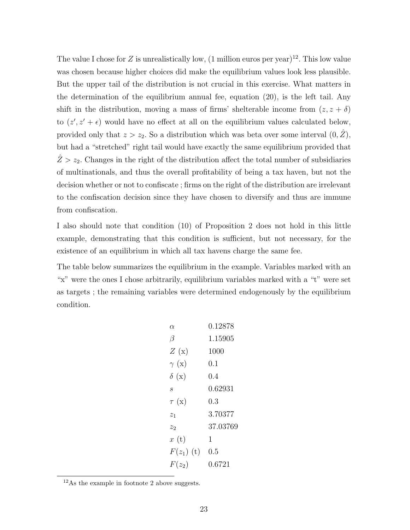The value I chose for Z is unrealistically low,  $(1 \text{ million euros per year})^{12}$ . This low value was chosen because higher choices did make the equilibrium values look less plausible. But the upper tail of the distribution is not crucial in this exercise. What matters in the determination of the equilibrium annual fee, equation (20), is the left tail. Any shift in the distribution, moving a mass of firms' shelterable income from  $(z, z + \delta)$ to  $(z', z' + \epsilon)$  would have no effect at all on the equilibrium values calculated below, provided only that  $z > z_2$ . So a distribution which was beta over some interval  $(0, \hat{Z})$ , but had a "stretched" right tail would have exactly the same equilibrium provided that  $\hat{Z} > z_2$ . Changes in the right of the distribution affect the total number of subsidiaries of multinationals, and thus the overall profitability of being a tax haven, but not the decision whether or not to confiscate ; firms on the right of the distribution are irrelevant to the confiscation decision since they have chosen to diversify and thus are immune from confiscation.

I also should note that condition (10) of Proposition 2 does not hold in this little example, demonstrating that this condition is sufficient, but not necessary, for the existence of an equilibrium in which all tax havens charge the same fee.

The table below summarizes the equilibrium in the example. Variables marked with an "x" were the ones I chose arbitrarily, equilibrium variables marked with a "t" were set as targets ; the remaining variables were determined endogenously by the equilibrium condition.

| $\alpha$             | 0.12878  |
|----------------------|----------|
| В                    | 1.15905  |
| Z(x)                 | 1000     |
| $\gamma$ (x)         | 0.1      |
| $\delta(\mathbf{x})$ | 0.4      |
| $\mathcal{S}_{0}$    | 0.62931  |
| $\tau(x)$            | 0.3      |
| $z_{1}$              | 3.70377  |
| z <sub>2</sub>       | 37.03769 |
| x(t)                 | 1        |
| $F(z_1)$ (t)         | 0.5      |
| $F(z_2)$             | 0.6721   |
|                      |          |

<sup>12</sup>As the example in footnote 2 above suggests.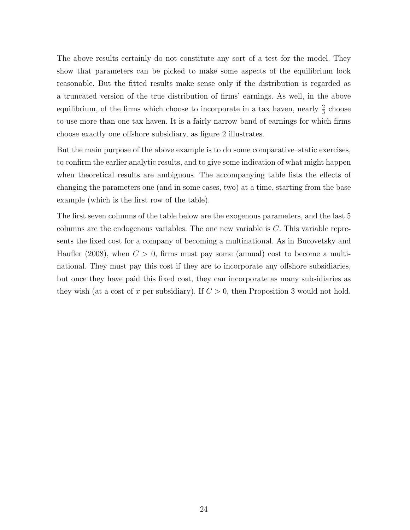The above results certainly do not constitute any sort of a test for the model. They show that parameters can be picked to make some aspects of the equilibrium look reasonable. But the fitted results make sense only if the distribution is regarded as a truncated version of the true distribution of firms' earnings. As well, in the above equilibrium, of the firms which choose to incorporate in a tax haven, nearly  $\frac{2}{3}$  choose to use more than one tax haven. It is a fairly narrow band of earnings for which firms choose exactly one offshore subsidiary, as figure 2 illustrates.

But the main purpose of the above example is to do some comparative–static exercises, to confirm the earlier analytic results, and to give some indication of what might happen when theoretical results are ambiguous. The accompanying table lists the effects of changing the parameters one (and in some cases, two) at a time, starting from the base example (which is the first row of the table).

The first seven columns of the table below are the exogenous parameters, and the last 5 columns are the endogenous variables. The one new variable is  $C$ . This variable represents the fixed cost for a company of becoming a multinational. As in Bucovetsky and Haufler (2008), when  $C > 0$ , firms must pay some (annual) cost to become a multinational. They must pay this cost if they are to incorporate any offshore subsidiaries, but once they have paid this fixed cost, they can incorporate as many subsidiaries as they wish (at a cost of x per subsidiary). If  $C > 0$ , then Proposition 3 would not hold.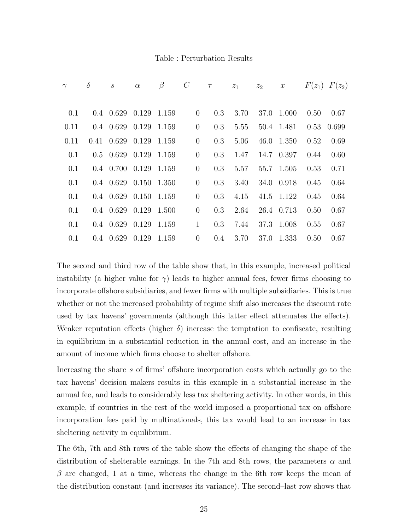#### Table : Perturbation Results

|      | $\delta$ | S                             | $\alpha$ | $\beta$ | $\mathcal{C}_{0}$ | $\tau$ | $z_1$ $z_2$ x |            |      | $F(z_1)$ $F(z_2)$ |
|------|----------|-------------------------------|----------|---------|-------------------|--------|---------------|------------|------|-------------------|
|      |          |                               |          |         |                   |        |               |            |      |                   |
| 0.1  |          | $0.4$ $0.629$ $0.129$ $1.159$ |          |         | $\overline{0}$    | 0.3    | 3.70          | 37.0 1.000 | 0.50 | 0.67              |
| 0.11 |          | $0.4$ $0.629$ $0.129$ $1.159$ |          |         | $\theta$          | 0.3    | 5.55          | 50.4 1.481 |      | 0.53 0.699        |
| 0.11 |          | $0.41$ $0.629$ $0.129$        |          | 1.159   | $\theta$          | 0.3    | 5.06          | 46.0 1.350 | 0.52 | 0.69              |
| 0.1  |          | $0.5$ $0.629$ $0.129$ $1.159$ |          |         | $\theta$          | 0.3    | 1.47          | 14.7 0.397 | 0.44 | 0.60              |
| 0.1  |          | $0.4$ $0.700$ $0.129$ $1.159$ |          |         | $\theta$          | 0.3    | 5.57          | 55.7 1.505 | 0.53 | 0.71              |
| 0.1  |          | $0.4$ $0.629$ $0.150$ $1.350$ |          |         | $\theta$          | 0.3    | 3.40          | 34.0 0.918 | 0.45 | 0.64              |
| 0.1  |          | $0.4$ $0.629$ $0.150$ $1.159$ |          |         | $\theta$          | 0.3    | 4.15          | 41.5 1.122 | 0.45 | 0.64              |
| 0.1  |          | $0.4$ $0.629$ $0.129$ $1.500$ |          |         | $\theta$          | 0.3    | 2.64          | 26.4 0.713 | 0.50 | 0.67              |
| 0.1  |          | $0.4$ $0.629$ $0.129$ $1.159$ |          |         | $\mathbf{1}$      | 0.3    | 7.44          | 37.3 1.008 | 0.55 | 0.67              |
| 0.1  |          | $0.4$ $0.629$ $0.129$         |          | 1.159   | $\overline{0}$    | 0.4    | 3.70          | 37.0 1.333 | 0.50 | 0.67              |

The second and third row of the table show that, in this example, increased political instability (a higher value for  $\gamma$ ) leads to higher annual fees, fewer firms choosing to incorporate offshore subsidiaries, and fewer firms with multiple subsidiaries. This is true whether or not the increased probability of regime shift also increases the discount rate used by tax havens' governments (although this latter effect attenuates the effects). Weaker reputation effects (higher  $\delta$ ) increase the temptation to confiscate, resulting in equilibrium in a substantial reduction in the annual cost, and an increase in the amount of income which firms choose to shelter offshore.

Increasing the share s of firms' offshore incorporation costs which actually go to the tax havens' decision makers results in this example in a substantial increase in the annual fee, and leads to considerably less tax sheltering activity. In other words, in this example, if countries in the rest of the world imposed a proportional tax on offshore incorporation fees paid by multinationals, this tax would lead to an increase in tax sheltering activity in equilibrium.

The 6th, 7th and 8th rows of the table show the effects of changing the shape of the distribution of shelterable earnings. In the 7th and 8th rows, the parameters  $\alpha$  and  $\beta$  are changed, 1 at a time, whereas the change in the 6th row keeps the mean of the distribution constant (and increases its variance). The second–last row shows that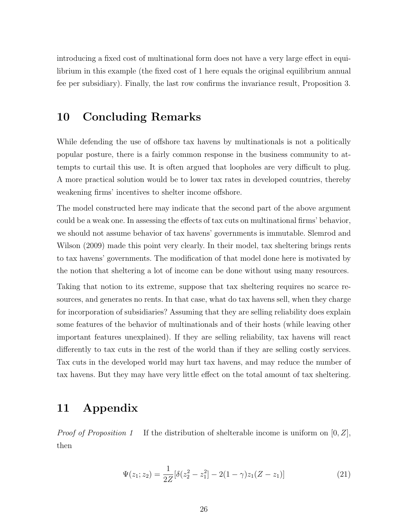introducing a fixed cost of multinational form does not have a very large effect in equilibrium in this example (the fixed cost of 1 here equals the original equilibrium annual fee per subsidiary). Finally, the last row confirms the invariance result, Proposition 3.

# 10 Concluding Remarks

While defending the use of offshore tax havens by multinationals is not a politically popular posture, there is a fairly common response in the business community to attempts to curtail this use. It is often argued that loopholes are very difficult to plug. A more practical solution would be to lower tax rates in developed countries, thereby weakening firms' incentives to shelter income offshore.

The model constructed here may indicate that the second part of the above argument could be a weak one. In assessing the effects of tax cuts on multinational firms' behavior, we should not assume behavior of tax havens' governments is immutable. Slemrod and Wilson (2009) made this point very clearly. In their model, tax sheltering brings rents to tax havens' governments. The modification of that model done here is motivated by the notion that sheltering a lot of income can be done without using many resources.

Taking that notion to its extreme, suppose that tax sheltering requires no scarce resources, and generates no rents. In that case, what do tax havens sell, when they charge for incorporation of subsidiaries? Assuming that they are selling reliability does explain some features of the behavior of multinationals and of their hosts (while leaving other important features unexplained). If they are selling reliability, tax havens will react differently to tax cuts in the rest of the world than if they are selling costly services. Tax cuts in the developed world may hurt tax havens, and may reduce the number of tax havens. But they may have very little effect on the total amount of tax sheltering.

### 11 Appendix

*Proof of Proposition 1* If the distribution of shelterable income is uniform on  $[0, Z]$ , then

$$
\Psi(z_1; z_2) = \frac{1}{2Z} [\delta(z_2^2 - z_1^2) - 2(1 - \gamma)z_1(Z - z_1)] \tag{21}
$$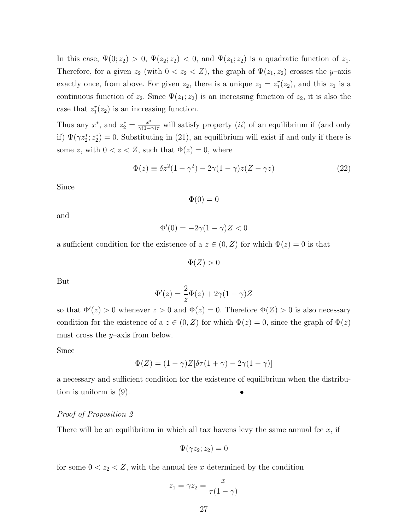In this case,  $\Psi(0; z_2) > 0$ ,  $\Psi(z_2; z_2) < 0$ , and  $\Psi(z_1; z_2)$  is a quadratic function of  $z_1$ . Therefore, for a given  $z_2$  (with  $0 < z_2 < Z$ ), the graph of  $\Psi(z_1, z_2)$  crosses the y-axis exactly once, from above. For given  $z_2$ , there is a unique  $z_1 = z_1^r(z_2)$ , and this  $z_1$  is a continuous function of  $z_2$ . Since  $\Psi(z_1; z_2)$  is an increasing function of  $z_2$ , it is also the case that  $z_1^r(z_2)$  is an increasing function.

Thus any  $x^*$ , and  $z_2^* = \frac{x^*}{\gamma(1-\gamma)\tau}$  will satisfy property *(ii)* of an equilibrium if (and only if)  $\Psi(\gamma z_2^*, z_2^*) = 0$ . Substituting in (21), an equilibrium will exist if and only if there is some z, with  $0 < z < Z$ , such that  $\Phi(z) = 0$ , where

$$
\Phi(z) \equiv \delta z^2 (1 - \gamma^2) - 2\gamma (1 - \gamma) z (Z - \gamma z)
$$
\n(22)

Since

$$
\Phi(0) = 0
$$

and

$$
\Phi'(0) = -2\gamma(1-\gamma)Z < 0
$$

a sufficient condition for the existence of a  $z \in (0, Z)$  for which  $\Phi(z) = 0$  is that

 $\Phi(Z) > 0$ 

But

$$
\Phi'(z) = \frac{2}{z}\Phi(z) + 2\gamma(1-\gamma)Z
$$

so that  $\Phi'(z) > 0$  whenever  $z > 0$  and  $\Phi(z) = 0$ . Therefore  $\Phi(Z) > 0$  is also necessary condition for the existence of a  $z \in (0, Z)$  for which  $\Phi(z) = 0$ , since the graph of  $\Phi(z)$ must cross the  $y$ –axis from below.

Since

$$
\Phi(Z) = (1 - \gamma)Z[\delta \tau (1 + \gamma) - 2\gamma (1 - \gamma)]
$$

a necessary and sufficient condition for the existence of equilibrium when the distribution is uniform is  $(9)$ .

#### Proof of Proposition 2

There will be an equilibrium in which all tax havens levy the same annual fee  $x$ , if

$$
\Psi(\gamma z_2; z_2) = 0
$$

for some  $0 < z_2 < Z$ , with the annual fee x determined by the condition

$$
z_1 = \gamma z_2 = \frac{x}{\tau(1-\gamma)}
$$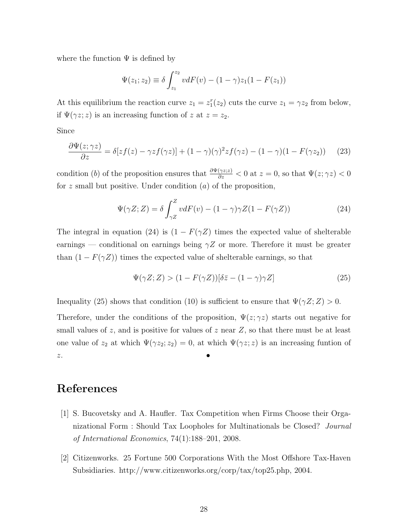where the function  $\Psi$  is defined by

$$
\Psi(z_1; z_2) \equiv \delta \int_{z_1}^{z_2} v dF(v) - (1 - \gamma) z_1 (1 - F(z_1))
$$

At this equilibrium the reaction curve  $z_1 = z_1^r(z_2)$  cuts the curve  $z_1 = \gamma z_2$  from below, if  $\Psi(\gamma z; z)$  is an increasing function of z at  $z = z_2$ .

Since

$$
\frac{\partial \Psi(z;\gamma z)}{\partial z} = \delta[zf(z) - \gamma z f(\gamma z)] + (1 - \gamma)(\gamma)^2 z f(\gamma z) - (1 - \gamma)(1 - F(\gamma z_2)) \tag{23}
$$

condition (b) of the proposition ensures that  $\frac{\partial \Psi(\gamma z; z)}{\partial z} < 0$  at  $z = 0$ , so that  $\Psi(z; \gamma z) < 0$ for z small but positive. Under condition  $(a)$  of the proposition,

$$
\Psi(\gamma Z; Z) = \delta \int_{\gamma Z}^{Z} v dF(v) - (1 - \gamma)\gamma Z(1 - F(\gamma Z)) \tag{24}
$$

The integral in equation (24) is  $(1 - F(\gamma Z))$  times the expected value of shelterable earnings — conditional on earnings being  $\gamma Z$  or more. Therefore it must be greater than  $(1 - F(\gamma Z))$  times the expected value of shelterable earnings, so that

$$
\Psi(\gamma Z; Z) > (1 - F(\gamma Z))[\delta \bar{z} - (1 - \gamma)\gamma Z]
$$
\n(25)

Inequality (25) shows that condition (10) is sufficient to ensure that  $\Psi(\gamma Z; Z) > 0$ .

Therefore, under the conditions of the proposition,  $\Psi(z;\gamma z)$  starts out negative for small values of z, and is positive for values of z near  $Z$ , so that there must be at least one value of  $z_2$  at which  $\Psi(\gamma z_2; z_2) = 0$ , at which  $\Psi(\gamma z; z)$  is an increasing funtion of  $z$ .

# References

- [1] S. Bucovetsky and A. Haufler. Tax Competition when Firms Choose their Organizational Form : Should Tax Loopholes for Multinationals be Closed? Journal of International Economics, 74(1):188–201, 2008.
- [2] Citizenworks. 25 Fortune 500 Corporations With the Most Offshore Tax-Haven Subsidiaries. http://www.citizenworks.org/corp/tax/top25.php, 2004.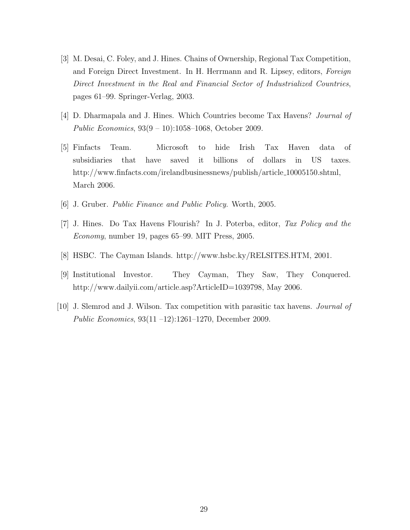- [3] M. Desai, C. Foley, and J. Hines. Chains of Ownership, Regional Tax Competition, and Foreign Direct Investment. In H. Herrmann and R. Lipsey, editors, Foreign Direct Investment in the Real and Financial Sector of Industrialized Countries, pages 61–99. Springer-Verlag, 2003.
- [4] D. Dharmapala and J. Hines. Which Countries become Tax Havens? Journal of Public Economics, 93(9 – 10):1058–1068, October 2009.
- [5] Finfacts Team. Microsoft to hide Irish Tax Haven data of subsidiaries that have saved it billions of dollars in US taxes. http://www.finfacts.com/irelandbusinessnews/publish/article 10005150.shtml, March 2006.
- [6] J. Gruber. Public Finance and Public Policy. Worth, 2005.
- [7] J. Hines. Do Tax Havens Flourish? In J. Poterba, editor, Tax Policy and the Economy, number 19, pages 65–99. MIT Press, 2005.
- [8] HSBC. The Cayman Islands. http://www.hsbc.ky/RELSITES.HTM, 2001.
- [9] Institutional Investor. They Cayman, They Saw, They Conquered. http://www.dailyii.com/article.asp?ArticleID=1039798, May 2006.
- [10] J. Slemrod and J. Wilson. Tax competition with parasitic tax havens. Journal of Public Economics, 93(11 –12):1261–1270, December 2009.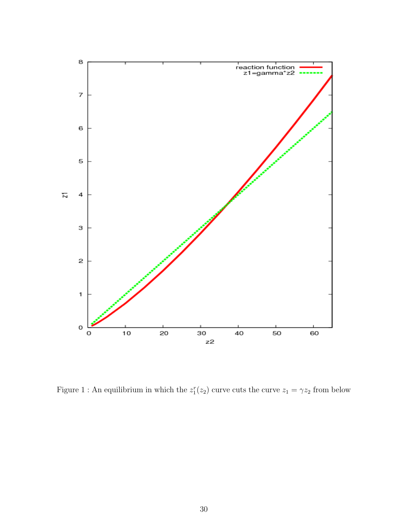

Figure 1 : An equilibrium in which the  $z_1^r(z_2)$  curve cuts the curve  $z_1 = \gamma z_2$  from below